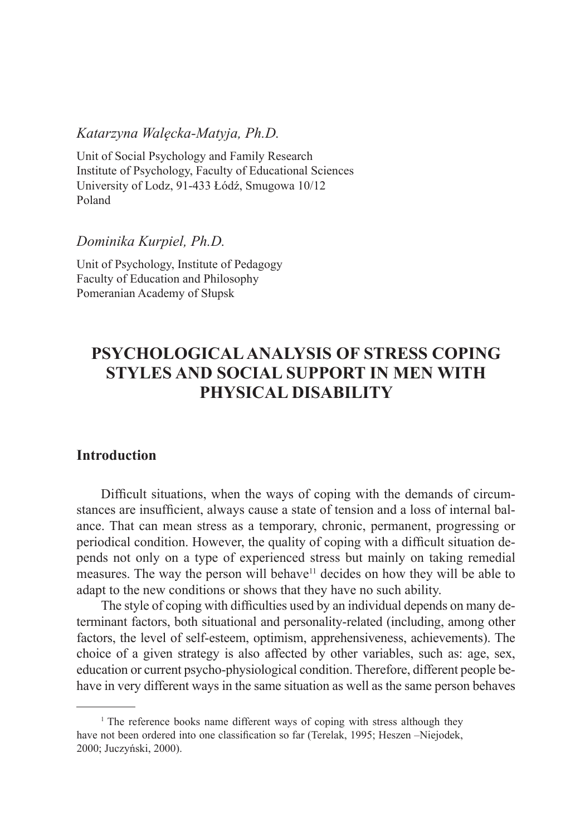#### *Katarzyna Walęcka-Matyja, Ph.D.*

Unit of Social Psychology and Family Research Institute of Psychology, Faculty of Educational Sciences University of Lodz, 91-433 Łódź, Smugowa 10/12 Poland

#### *Dominika Kurpiel, Ph.D.*

Unit of Psychology, Institute of Pedagogy Faculty of Education and Philosophy Pomeranian Academy of Słupsk

# **Psychological Analysis of Stress Coping Styles and Social Support in Men with Physical Disability**

# **Introduction**

Difficult situations, when the ways of coping with the demands of circumstances are insufficient, always cause a state of tension and a loss of internal balance. That can mean stress as a temporary, chronic, permanent, progressing or periodical condition. However, the quality of coping with a difficult situation depends not only on a type of experienced stress but mainly on taking remedial measures. The way the person will behave<sup>11</sup> decides on how they will be able to adapt to the new conditions or shows that they have no such ability.

The style of coping with difficulties used by an individual depends on many determinant factors, both situational and personality-related (including, among other factors, the level of self-esteem, optimism, apprehensiveness, achievements). The choice of a given strategy is also affected by other variables, such as: age, sex, education or current psycho-physiological condition. Therefore, different people behave in very different ways in the same situation as well as the same person behaves

<sup>&</sup>lt;sup>1</sup> The reference books name different ways of coping with stress although they have not been ordered into one classification so far (Terelak, 1995; Heszen –Niejodek, 2000; Juczyński, 2000).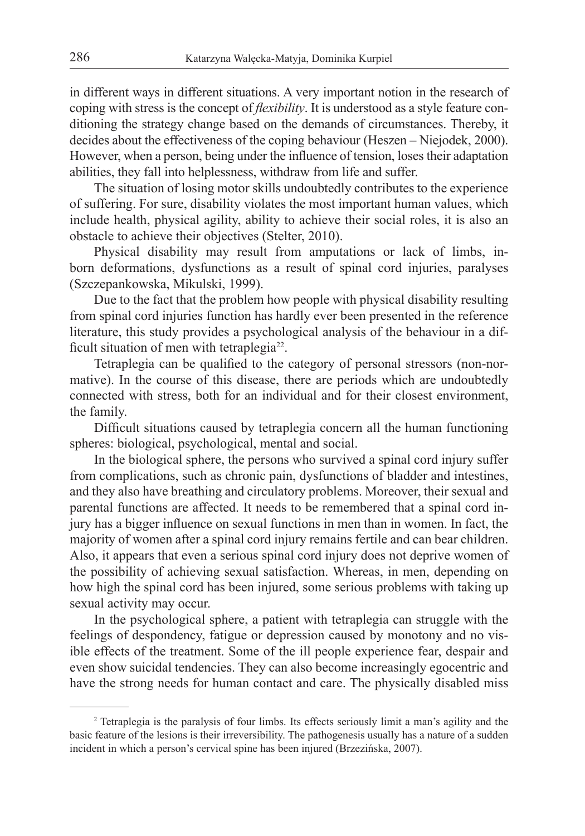in different ways in different situations. A very important notion in the research of coping with stress is the concept of *flexibility*. It is understood as a style feature conditioning the strategy change based on the demands of circumstances. Thereby, it decides about the effectiveness of the coping behaviour (Heszen – Niejodek, 2000). However, when a person, being under the influence of tension, loses their adaptation abilities, they fall into helplessness, withdraw from life and suffer.

The situation of losing motor skills undoubtedly contributes to the experience of suffering. For sure, disability violates the most important human values, which include health, physical agility, ability to achieve their social roles, it is also an obstacle to achieve their objectives (Stelter, 2010).

Physical disability may result from amputations or lack of limbs, inborn deformations, dysfunctions as a result of spinal cord injuries, paralyses (Szczepankowska, Mikulski, 1999).

Due to the fact that the problem how people with physical disability resulting from spinal cord injuries function has hardly ever been presented in the reference literature, this study provides a psychological analysis of the behaviour in a difficult situation of men with tetraplegia<sup>22</sup>.

Tetraplegia can be qualified to the category of personal stressors (non-normative). In the course of this disease, there are periods which are undoubtedly connected with stress, both for an individual and for their closest environment, the family.

Difficult situations caused by tetraplegia concern all the human functioning spheres: biological, psychological, mental and social.

In the biological sphere, the persons who survived a spinal cord injury suffer from complications, such as chronic pain, dysfunctions of bladder and intestines, and they also have breathing and circulatory problems. Moreover, their sexual and parental functions are affected. It needs to be remembered that a spinal cord injury has a bigger influence on sexual functions in men than in women. In fact, the majority of women after a spinal cord injury remains fertile and can bear children. Also, it appears that even a serious spinal cord injury does not deprive women of the possibility of achieving sexual satisfaction. Whereas, in men, depending on how high the spinal cord has been injured, some serious problems with taking up sexual activity may occur.

In the psychological sphere, a patient with tetraplegia can struggle with the feelings of despondency, fatigue or depression caused by monotony and no visible effects of the treatment. Some of the ill people experience fear, despair and even show suicidal tendencies. They can also become increasingly egocentric and have the strong needs for human contact and care. The physically disabled miss

<sup>&</sup>lt;sup>2</sup> Tetraplegia is the paralysis of four limbs. Its effects seriously limit a man's agility and the basic feature of the lesions is their irreversibility. The pathogenesis usually has a nature of a sudden incident in which a person's cervical spine has been injured (Brzezińska, 2007).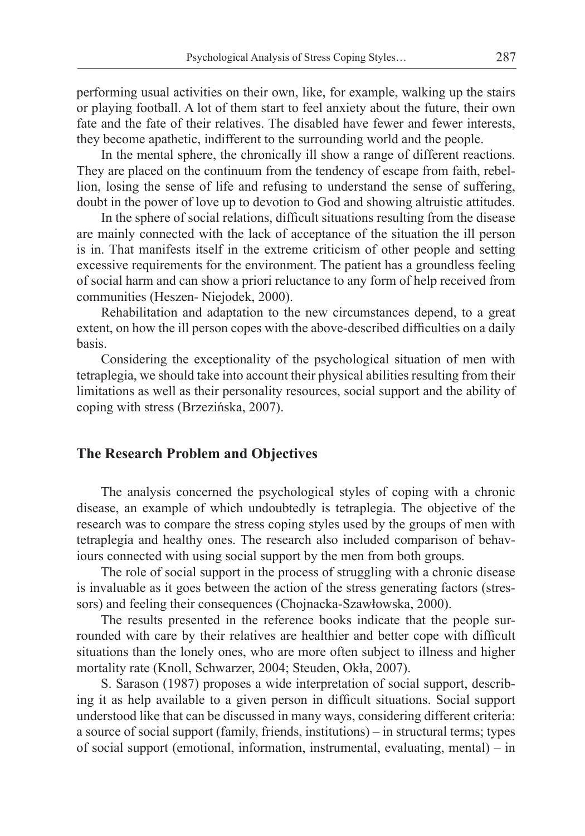performing usual activities on their own, like, for example, walking up the stairs or playing football. A lot of them start to feel anxiety about the future, their own fate and the fate of their relatives. The disabled have fewer and fewer interests, they become apathetic, indifferent to the surrounding world and the people.

In the mental sphere, the chronically ill show a range of different reactions. They are placed on the continuum from the tendency of escape from faith, rebellion, losing the sense of life and refusing to understand the sense of suffering, doubt in the power of love up to devotion to God and showing altruistic attitudes.

In the sphere of social relations, difficult situations resulting from the disease are mainly connected with the lack of acceptance of the situation the ill person is in. That manifests itself in the extreme criticism of other people and setting excessive requirements for the environment. The patient has a groundless feeling of social harm and can show a priori reluctance to any form of help received from communities (Heszen- Niejodek, 2000).

Rehabilitation and adaptation to the new circumstances depend, to a great extent, on how the ill person copes with the above-described difficulties on a daily basis.

Considering the exceptionality of the psychological situation of men with tetraplegia, we should take into account their physical abilities resulting from their limitations as well as their personality resources, social support and the ability of coping with stress (Brzezińska, 2007).

#### **The Research Problem and Objectives**

The analysis concerned the psychological styles of coping with a chronic disease, an example of which undoubtedly is tetraplegia. The objective of the research was to compare the stress coping styles used by the groups of men with tetraplegia and healthy ones. The research also included comparison of behaviours connected with using social support by the men from both groups.

The role of social support in the process of struggling with a chronic disease is invaluable as it goes between the action of the stress generating factors (stressors) and feeling their consequences (Chojnacka-Szawłowska, 2000).

The results presented in the reference books indicate that the people surrounded with care by their relatives are healthier and better cope with difficult situations than the lonely ones, who are more often subject to illness and higher mortality rate (Knoll, Schwarzer, 2004; Steuden, Okła, 2007).

S. Sarason (1987) proposes a wide interpretation of social support, describing it as help available to a given person in difficult situations. Social support understood like that can be discussed in many ways, considering different criteria: a source of social support (family, friends, institutions) – in structural terms; types of social support (emotional, information, instrumental, evaluating, mental) – in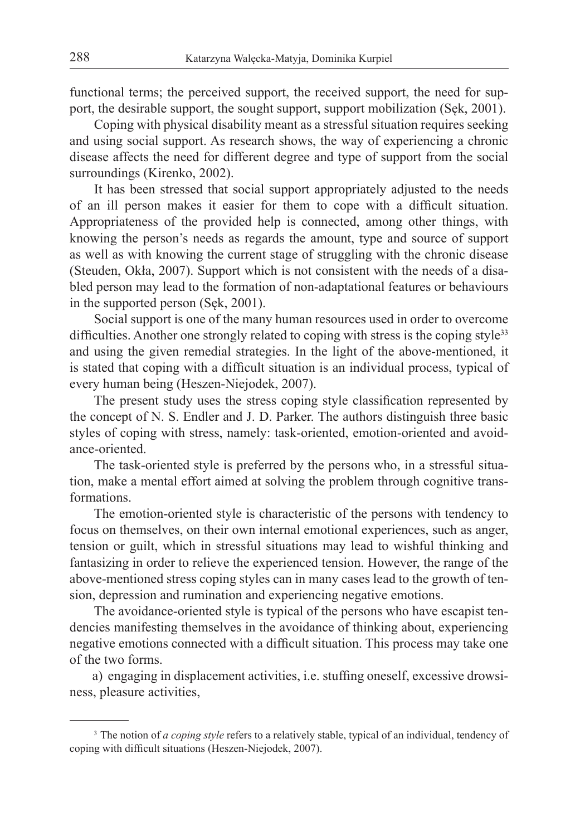functional terms; the perceived support, the received support, the need for support, the desirable support, the sought support, support mobilization (Sęk, 2001).

Coping with physical disability meant as a stressful situation requires seeking and using social support. As research shows, the way of experiencing a chronic disease affects the need for different degree and type of support from the social surroundings (Kirenko, 2002).

It has been stressed that social support appropriately adjusted to the needs of an ill person makes it easier for them to cope with a difficult situation. Appropriateness of the provided help is connected, among other things, with knowing the person's needs as regards the amount, type and source of support as well as with knowing the current stage of struggling with the chronic disease (Steuden, Okła, 2007). Support which is not consistent with the needs of a disabled person may lead to the formation of non-adaptational features or behaviours in the supported person (Sęk, 2001).

Social support is one of the many human resources used in order to overcome difficulties. Another one strongly related to coping with stress is the coping style $33$ and using the given remedial strategies. In the light of the above-mentioned, it is stated that coping with a difficult situation is an individual process, typical of every human being (Heszen-Niejodek, 2007).

The present study uses the stress coping style classification represented by the concept of N. S. Endler and J. D. Parker. The authors distinguish three basic styles of coping with stress, namely: task-oriented, emotion-oriented and avoidance-oriented.

The task-oriented style is preferred by the persons who, in a stressful situation, make a mental effort aimed at solving the problem through cognitive transformations.

The emotion-oriented style is characteristic of the persons with tendency to focus on themselves, on their own internal emotional experiences, such as anger, tension or guilt, which in stressful situations may lead to wishful thinking and fantasizing in order to relieve the experienced tension. However, the range of the above-mentioned stress coping styles can in many cases lead to the growth of tension, depression and rumination and experiencing negative emotions.

The avoidance-oriented style is typical of the persons who have escapist tendencies manifesting themselves in the avoidance of thinking about, experiencing negative emotions connected with a difficult situation. This process may take one of the two forms.

a) engaging in displacement activities, i.e. stuffing oneself, excessive drowsiness, pleasure activities,

<sup>&</sup>lt;sup>3</sup> The notion of *a coping style* refers to a relatively stable, typical of an individual, tendency of coping with difficult situations (Heszen-Niejodek, 2007).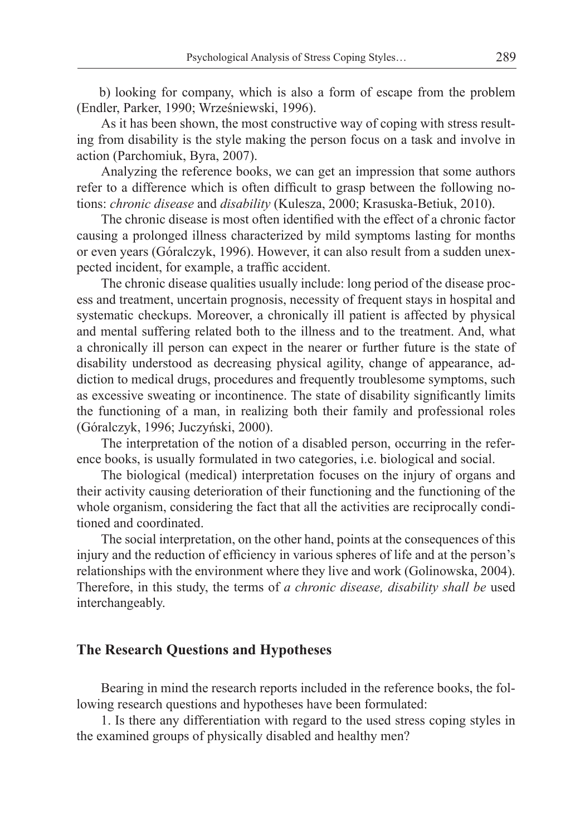b) looking for company, which is also a form of escape from the problem (Endler, Parker, 1990; Wrześniewski, 1996).

As it has been shown, the most constructive way of coping with stress resulting from disability is the style making the person focus on a task and involve in action (Parchomiuk, Byra, 2007).

Analyzing the reference books, we can get an impression that some authors refer to a difference which is often difficult to grasp between the following notions: *chronic disease* and *disability* (Kulesza, 2000; Krasuska-Betiuk, 2010).

The chronic disease is most often identified with the effect of a chronic factor causing a prolonged illness characterized by mild symptoms lasting for months or even years (Góralczyk, 1996). However, it can also result from a sudden unexpected incident, for example, a traffic accident.

The chronic disease qualities usually include: long period of the disease process and treatment, uncertain prognosis, necessity of frequent stays in hospital and systematic checkups. Moreover, a chronically ill patient is affected by physical and mental suffering related both to the illness and to the treatment. And, what a chronically ill person can expect in the nearer or further future is the state of disability understood as decreasing physical agility, change of appearance, addiction to medical drugs, procedures and frequently troublesome symptoms, such as excessive sweating or incontinence. The state of disability significantly limits the functioning of a man, in realizing both their family and professional roles (Góralczyk, 1996; Juczyński, 2000).

The interpretation of the notion of a disabled person, occurring in the reference books, is usually formulated in two categories, i.e. biological and social.

The biological (medical) interpretation focuses on the injury of organs and their activity causing deterioration of their functioning and the functioning of the whole organism, considering the fact that all the activities are reciprocally conditioned and coordinated.

The social interpretation, on the other hand, points at the consequences of this injury and the reduction of efficiency in various spheres of life and at the person's relationships with the environment where they live and work (Golinowska, 2004). Therefore, in this study, the terms of *a chronic disease, disability shall be* used interchangeably.

## **The Research Questions and Hypotheses**

Bearing in mind the research reports included in the reference books, the following research questions and hypotheses have been formulated:

1. Is there any differentiation with regard to the used stress coping styles in the examined groups of physically disabled and healthy men?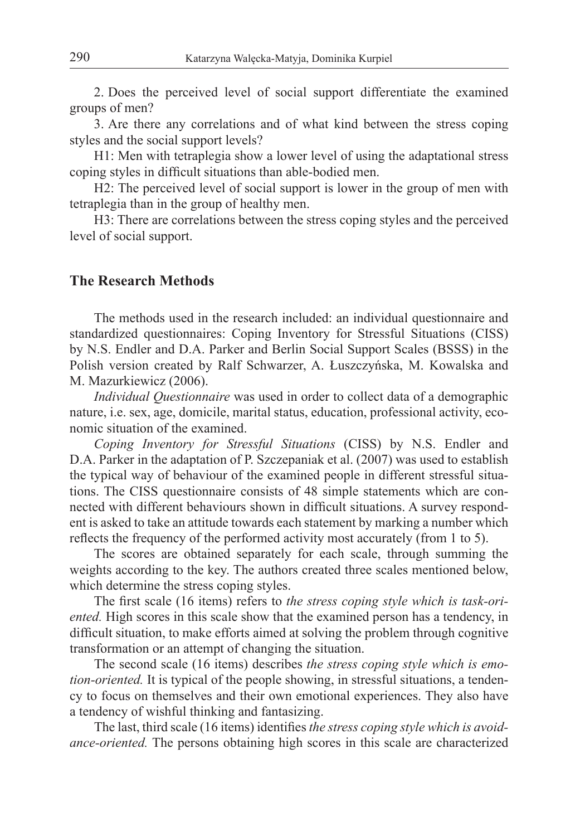2. Does the perceived level of social support differentiate the examined groups of men?

3. Are there any correlations and of what kind between the stress coping styles and the social support levels?

H1: Men with tetraplegia show a lower level of using the adaptational stress coping styles in difficult situations than able-bodied men.

H2: The perceived level of social support is lower in the group of men with tetraplegia than in the group of healthy men.

H3: There are correlations between the stress coping styles and the perceived level of social support.

## **The Research Methods**

The methods used in the research included: an individual questionnaire and standardized questionnaires: Coping Inventory for Stressful Situations (CISS) by N.S. Endler and D.A. Parker and Berlin Social Support Scales (BSSS) in the Polish version created by Ralf Schwarzer, A. Łuszczyńska, M. Kowalska and M. Mazurkiewicz (2006).

*Individual Questionnaire* was used in order to collect data of a demographic nature, i.e. sex, age, domicile, marital status, education, professional activity, economic situation of the examined.

*Coping Inventory for Stressful Situations* (CISS) by N.S. Endler and D.A. Parker in the adaptation of P. Szczepaniak et al. (2007) was used to establish the typical way of behaviour of the examined people in different stressful situations. The CISS questionnaire consists of 48 simple statements which are connected with different behaviours shown in difficult situations. A survey respondent is asked to take an attitude towards each statement by marking a number which reflects the frequency of the performed activity most accurately (from 1 to 5).

The scores are obtained separately for each scale, through summing the weights according to the key. The authors created three scales mentioned below, which determine the stress coping styles.

The first scale (16 items) refers to *the stress coping style which is task-oriented.* High scores in this scale show that the examined person has a tendency, in difficult situation, to make efforts aimed at solving the problem through cognitive transformation or an attempt of changing the situation.

The second scale (16 items) describes *the stress coping style which is emotion-oriented.* It is typical of the people showing, in stressful situations, a tendency to focus on themselves and their own emotional experiences. They also have a tendency of wishful thinking and fantasizing.

The last, third scale (16 items) identifies *the stress coping style which is avoidance-oriented.* The persons obtaining high scores in this scale are characterized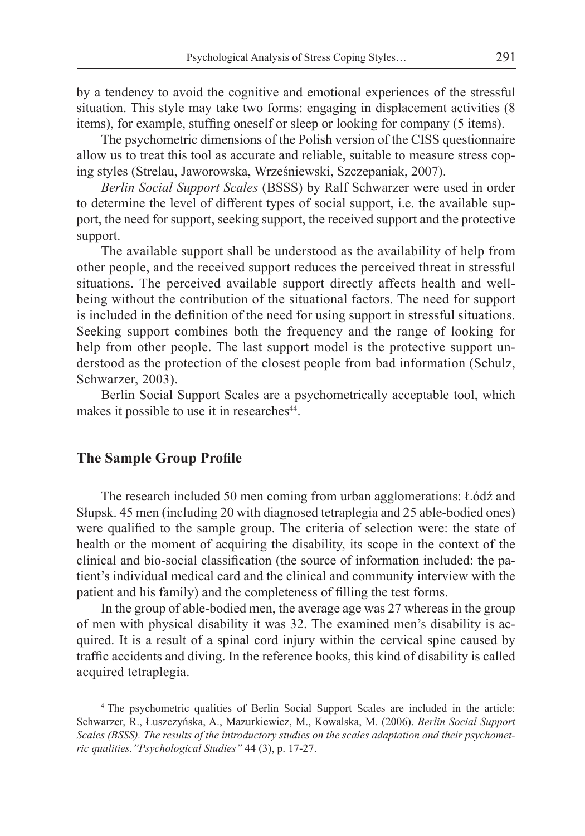by a tendency to avoid the cognitive and emotional experiences of the stressful situation. This style may take two forms: engaging in displacement activities (8 items), for example, stuffing oneself or sleep or looking for company (5 items).

The psychometric dimensions of the Polish version of the CISS questionnaire allow us to treat this tool as accurate and reliable, suitable to measure stress coping styles (Strelau, Jaworowska, Wrześniewski, Szczepaniak, 2007).

*Berlin Social Support Scales* (BSSS) by Ralf Schwarzer were used in order to determine the level of different types of social support, i.e. the available support, the need for support, seeking support, the received support and the protective support.

The available support shall be understood as the availability of help from other people, and the received support reduces the perceived threat in stressful situations. The perceived available support directly affects health and wellbeing without the contribution of the situational factors. The need for support is included in the definition of the need for using support in stressful situations. Seeking support combines both the frequency and the range of looking for help from other people. The last support model is the protective support understood as the protection of the closest people from bad information (Schulz, Schwarzer, 2003).

Berlin Social Support Scales are a psychometrically acceptable tool, which makes it possible to use it in researches<sup>44</sup>.

## **The Sample Group Profile**

The research included 50 men coming from urban agglomerations: Łódź and Słupsk. 45 men (including 20 with diagnosed tetraplegia and 25 able-bodied ones) were qualified to the sample group. The criteria of selection were: the state of health or the moment of acquiring the disability, its scope in the context of the clinical and bio-social classification (the source of information included: the patient's individual medical card and the clinical and community interview with the patient and his family) and the completeness of filling the test forms.

In the group of able-bodied men, the average age was 27 whereas in the group of men with physical disability it was 32. The examined men's disability is acquired. It is a result of a spinal cord injury within the cervical spine caused by traffic accidents and diving. In the reference books, this kind of disability is called acquired tetraplegia.

<sup>4</sup> The psychometric qualities of Berlin Social Support Scales are included in the article: Schwarzer, R., Łuszczyńska, A., Mazurkiewicz, M., Kowalska, M. (2006). *Berlin Social Support Scales (BSSS). The results of the introductory studies on the scales adaptation and their psychometric qualities."Psychological Studies"* 44 (3), p. 17-27.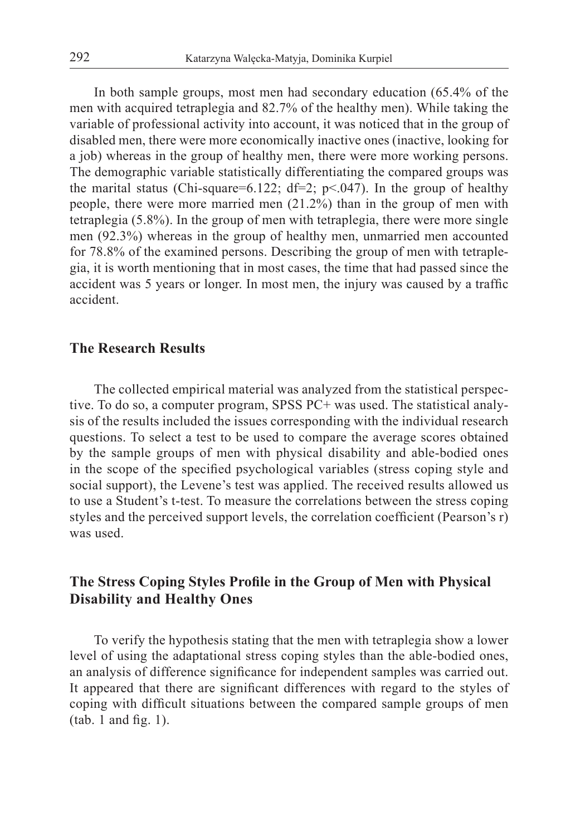In both sample groups, most men had secondary education (65.4% of the men with acquired tetraplegia and 82.7% of the healthy men). While taking the variable of professional activity into account, it was noticed that in the group of disabled men, there were more economically inactive ones (inactive, looking for a job) whereas in the group of healthy men, there were more working persons. The demographic variable statistically differentiating the compared groups was the marital status (Chi-square=6.122; df=2; p<.047). In the group of healthy people, there were more married men (21.2%) than in the group of men with tetraplegia (5.8%). In the group of men with tetraplegia, there were more single men (92.3%) whereas in the group of healthy men, unmarried men accounted for 78.8% of the examined persons. Describing the group of men with tetraplegia, it is worth mentioning that in most cases, the time that had passed since the accident was 5 years or longer. In most men, the injury was caused by a traffic accident.

#### **The Research Results**

The collected empirical material was analyzed from the statistical perspective. To do so, a computer program, SPSS PC+ was used. The statistical analysis of the results included the issues corresponding with the individual research questions. To select a test to be used to compare the average scores obtained by the sample groups of men with physical disability and able-bodied ones in the scope of the specified psychological variables (stress coping style and social support), the Levene's test was applied. The received results allowed us to use a Student's t-test. To measure the correlations between the stress coping styles and the perceived support levels, the correlation coefficient (Pearson's r) was used.

# **The Stress Coping Styles Profile in the Group of Men with Physical Disability and Healthy Ones**

To verify the hypothesis stating that the men with tetraplegia show a lower level of using the adaptational stress coping styles than the able-bodied ones, an analysis of difference significance for independent samples was carried out. It appeared that there are significant differences with regard to the styles of coping with difficult situations between the compared sample groups of men (tab. 1 and fig. 1).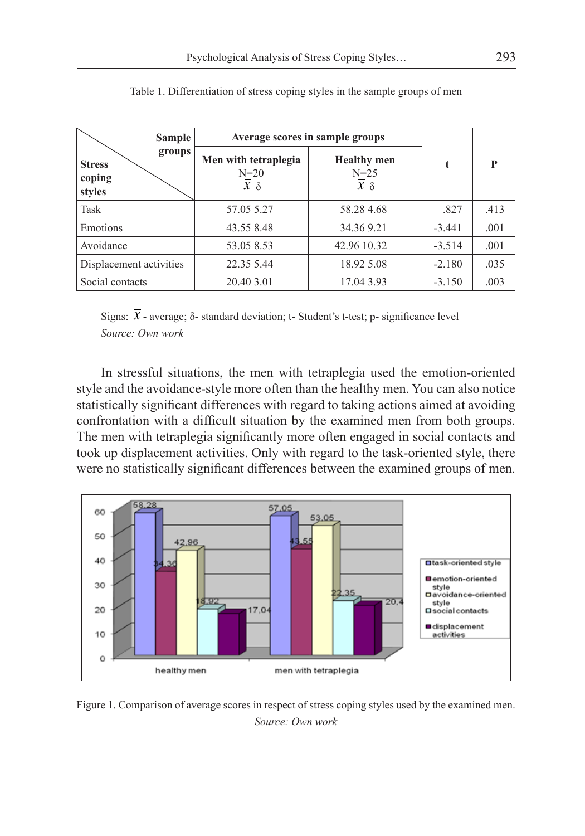| <b>Sample</b>                               | Average scores in sample groups              |                                              |          |      |
|---------------------------------------------|----------------------------------------------|----------------------------------------------|----------|------|
| groups<br><b>Stress</b><br>coping<br>styles | Men with tetraplegia<br>$N=20$<br>$x \delta$ | <b>Healthy</b> men<br>$N = 25$<br>$x \delta$ |          | P    |
| Task                                        | 57.05 5.27                                   | 58.284.68                                    | .827     | .413 |
| Emotions                                    | 43.55 8.48                                   | 34.369.21                                    | $-3.441$ | .001 |
| Avoidance                                   | 53.05 8.53                                   | 42.96 10.32                                  | $-3.514$ | .001 |
| Displacement activities                     | 22.35 5.44                                   | 18.92 5.08                                   | $-2.180$ | .035 |
| Social contacts                             | 20.40 3.01                                   | 17.04 3.93                                   | $-3.150$ | .003 |

Table 1. Differentiation of stress coping styles in the sample groups of men

Signs:  $\overline{X}$  - average;  $\delta$ - standard deviation; t- Student's t-test; p- significance level *Source: Own work*

In stressful situations, the men with tetraplegia used the emotion-oriented style and the avoidance-style more often than the healthy men. You can also notice statistically significant differences with regard to taking actions aimed at avoiding confrontation with a difficult situation by the examined men from both groups. The men with tetraplegia significantly more often engaged in social contacts and took up displacement activities. Only with regard to the task-oriented style, there were no statistically significant differences between the examined groups of men.



Figure 1. Comparison of average scores in respect of stress coping styles used by the examined men. *Source: Own work*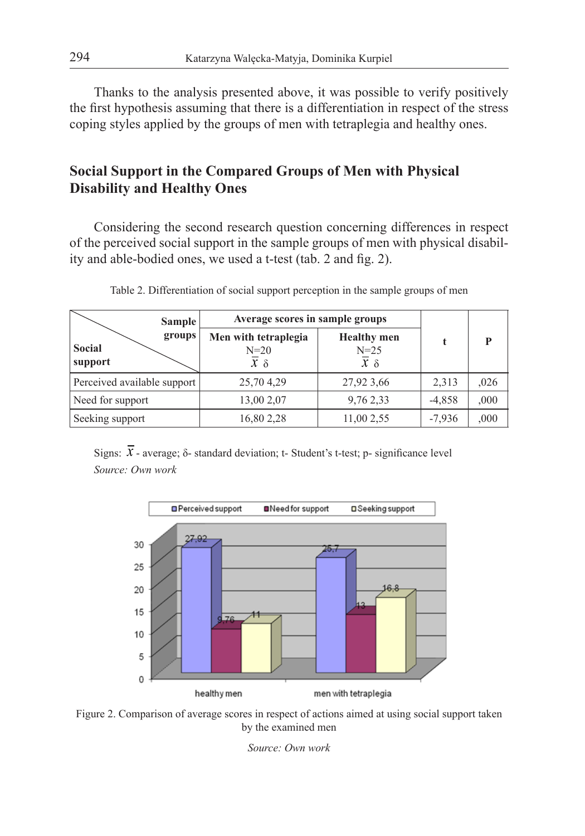Thanks to the analysis presented above, it was possible to verify positively the first hypothesis assuming that there is a differentiation in respect of the stress coping styles applied by the groups of men with tetraplegia and healthy ones.

# **Social Support in the Compared Groups of Men with Physical Disability and Healthy Ones**

Considering the second research question concerning differences in respect of the perceived social support in the sample groups of men with physical disability and able-bodied ones, we used a t-test (tab. 2 and fig. 2).

| <b>Sample</b>               | Average scores in sample groups |                              |          |      |
|-----------------------------|---------------------------------|------------------------------|----------|------|
| groups<br><b>Social</b>     | Men with tetraplegia<br>$N=20$  | <b>Healthy</b> men<br>$N=25$ |          |      |
| support                     | $x \delta$                      | $x \delta$                   |          |      |
| Perceived available support | 25,704,29                       | 27,92 3,66                   | 2,313    | ,026 |
| Need for support            | 13,00 2,07                      | 9,76 2,33                    | $-4,858$ | 000, |
| Seeking support             | 16,80 2,28                      | 11,00 2,55                   | $-7,936$ | ,000 |

Table 2. Differentiation of social support perception in the sample groups of men

Signs:  $\overline{x}$  - average;  $\delta$ - standard deviation; t- Student's t-test; p- significance level *Source: Own work*



Figure 2. Comparison of average scores in respect of actions aimed at using social support taken by the examined men

*Source: Own work*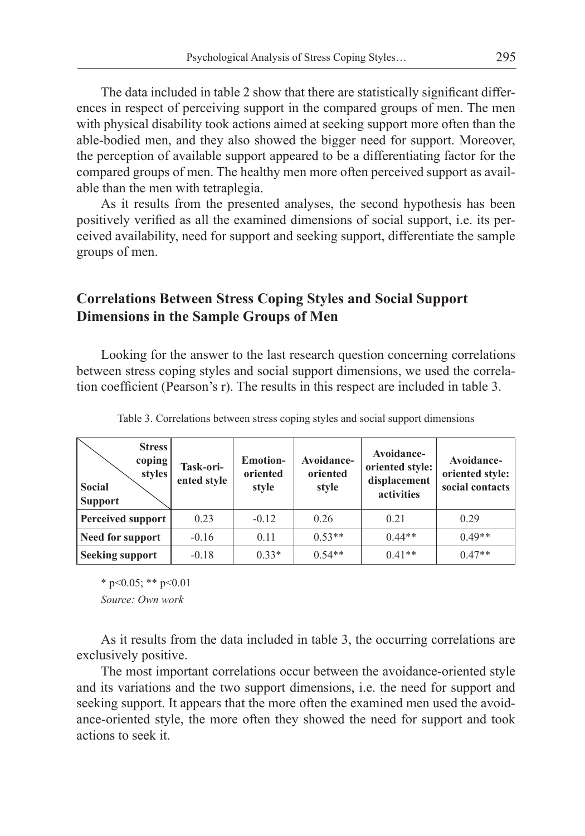The data included in table 2 show that there are statistically significant differences in respect of perceiving support in the compared groups of men. The men with physical disability took actions aimed at seeking support more often than the able-bodied men, and they also showed the bigger need for support. Moreover, the perception of available support appeared to be a differentiating factor for the compared groups of men. The healthy men more often perceived support as available than the men with tetraplegia.

As it results from the presented analyses, the second hypothesis has been positively verified as all the examined dimensions of social support, i.e. its perceived availability, need for support and seeking support, differentiate the sample groups of men.

# **Correlations Between Stress Coping Styles and Social Support Dimensions in the Sample Groups of Men**

Looking for the answer to the last research question concerning correlations between stress coping styles and social support dimensions, we used the correlation coefficient (Pearson's r). The results in this respect are included in table 3.

| <b>Stress</b><br>coping<br><b>styles</b><br><b>Social</b><br><b>Support</b> | Task-ori-<br>ented style | <b>Emotion-</b><br>oriented<br>style | Avoidance-<br>oriented<br>style | Avoidance-<br>oriented style:<br>displacement<br>activities | Avoidance-<br>oriented style:<br>social contacts |
|-----------------------------------------------------------------------------|--------------------------|--------------------------------------|---------------------------------|-------------------------------------------------------------|--------------------------------------------------|
| Perceived support                                                           | 0.23                     | $-0.12$                              | 0.26                            | 0.21                                                        | 0.29                                             |
| Need for support                                                            | $-0.16$                  | 0.11                                 | $0.53**$                        | $0.44**$                                                    | $0.49**$                                         |
| <b>Seeking support</b>                                                      | $-0.18$                  | $0.33*$                              | $0.54**$                        | $0.41**$                                                    | $0.47**$                                         |

Table 3. Correlations between stress coping styles and social support dimensions

 $*$  p<0.05; \*\* p<0.01

*Source: Own work*

As it results from the data included in table 3, the occurring correlations are exclusively positive.

The most important correlations occur between the avoidance-oriented style and its variations and the two support dimensions, i.e. the need for support and seeking support. It appears that the more often the examined men used the avoidance-oriented style, the more often they showed the need for support and took actions to seek it.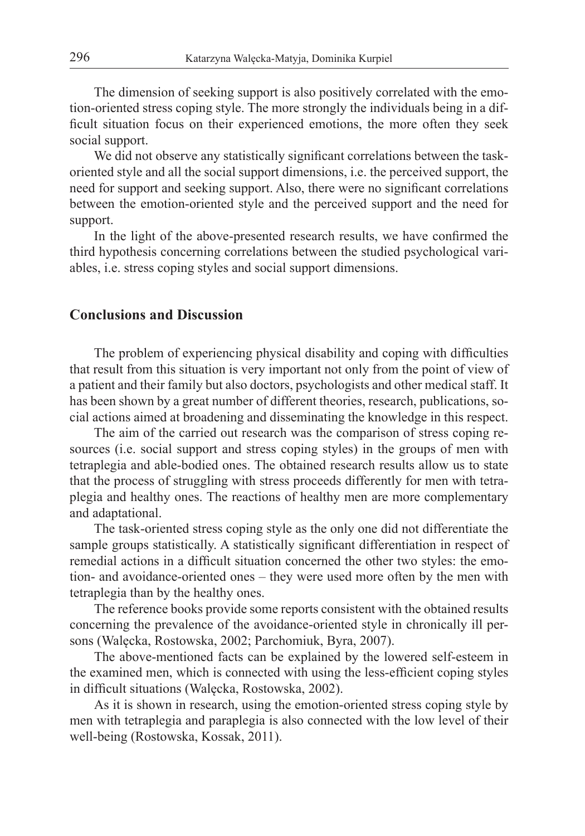The dimension of seeking support is also positively correlated with the emotion-oriented stress coping style. The more strongly the individuals being in a difficult situation focus on their experienced emotions, the more often they seek social support.

We did not observe any statistically significant correlations between the taskoriented style and all the social support dimensions, i.e. the perceived support, the need for support and seeking support. Also, there were no significant correlations between the emotion-oriented style and the perceived support and the need for support.

In the light of the above-presented research results, we have confirmed the third hypothesis concerning correlations between the studied psychological variables, i.e. stress coping styles and social support dimensions.

## **Conclusions and Discussion**

The problem of experiencing physical disability and coping with difficulties that result from this situation is very important not only from the point of view of a patient and their family but also doctors, psychologists and other medical staff. It has been shown by a great number of different theories, research, publications, social actions aimed at broadening and disseminating the knowledge in this respect.

The aim of the carried out research was the comparison of stress coping resources (i.e. social support and stress coping styles) in the groups of men with tetraplegia and able-bodied ones. The obtained research results allow us to state that the process of struggling with stress proceeds differently for men with tetraplegia and healthy ones. The reactions of healthy men are more complementary and adaptational.

The task-oriented stress coping style as the only one did not differentiate the sample groups statistically. A statistically significant differentiation in respect of remedial actions in a difficult situation concerned the other two styles: the emotion- and avoidance-oriented ones – they were used more often by the men with tetraplegia than by the healthy ones.

The reference books provide some reports consistent with the obtained results concerning the prevalence of the avoidance-oriented style in chronically ill persons (Walęcka, Rostowska, 2002; Parchomiuk, Byra, 2007).

The above-mentioned facts can be explained by the lowered self-esteem in the examined men, which is connected with using the less-efficient coping styles in difficult situations (Walęcka, Rostowska, 2002).

As it is shown in research, using the emotion-oriented stress coping style by men with tetraplegia and paraplegia is also connected with the low level of their well-being (Rostowska, Kossak, 2011).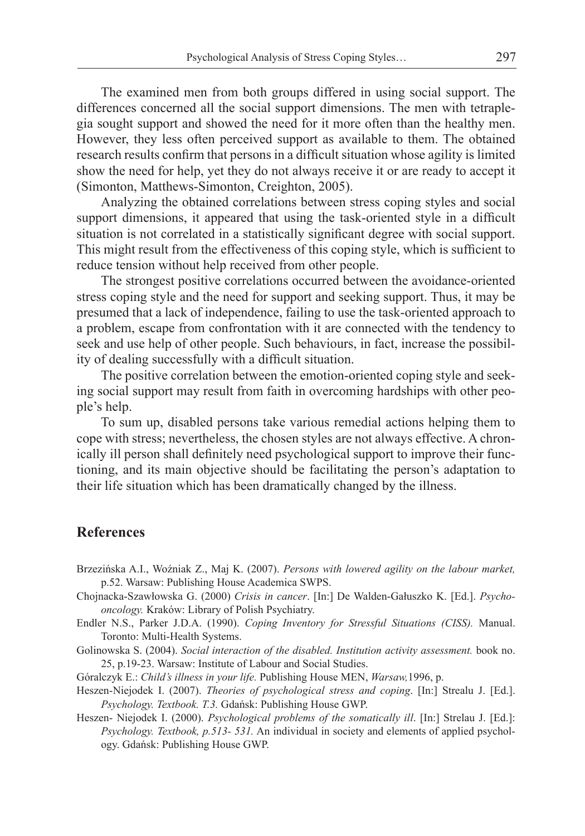The examined men from both groups differed in using social support. The differences concerned all the social support dimensions. The men with tetraplegia sought support and showed the need for it more often than the healthy men. However, they less often perceived support as available to them. The obtained research results confirm that persons in a difficult situation whose agility is limited show the need for help, yet they do not always receive it or are ready to accept it (Simonton, Matthews-Simonton, Creighton, 2005).

Analyzing the obtained correlations between stress coping styles and social support dimensions, it appeared that using the task-oriented style in a difficult situation is not correlated in a statistically significant degree with social support. This might result from the effectiveness of this coping style, which is sufficient to reduce tension without help received from other people.

The strongest positive correlations occurred between the avoidance-oriented stress coping style and the need for support and seeking support. Thus, it may be presumed that a lack of independence, failing to use the task-oriented approach to a problem, escape from confrontation with it are connected with the tendency to seek and use help of other people. Such behaviours, in fact, increase the possibility of dealing successfully with a difficult situation.

The positive correlation between the emotion-oriented coping style and seeking social support may result from faith in overcoming hardships with other people's help.

To sum up, disabled persons take various remedial actions helping them to cope with stress; nevertheless, the chosen styles are not always effective. A chronically ill person shall definitely need psychological support to improve their functioning, and its main objective should be facilitating the person's adaptation to their life situation which has been dramatically changed by the illness.

#### **References**

- Brzezińska A.I., Woźniak Z., Maj K. (2007). *Persons with lowered agility on the labour market,*  p.52. Warsaw: Publishing House Academica SWPS.
- Chojnacka-Szawłowska G. (2000) *Crisis in cancer*. [In:] De Walden-Gałuszko K. [Ed.]. *Psychooncology.* Kraków: Library of Polish Psychiatry.
- Endler N.S., Parker J.D.A. (1990). *Coping Inventory for Stressful Situations (CISS).* Manual. Toronto: Multi-Health Systems.
- Golinowska S. (2004). *Social interaction of the disabled. Institution activity assessment.* book no. 25, p.19-23. Warsaw: Institute of Labour and Social Studies.
- Góralczyk E.: *Child's illness in your life.* Publishing House MEN, *Warsaw,*1996, p.
- Heszen-Niejodek I. (2007). *Theories of psychological stress and coping*. [In:] Strealu J. [Ed.]. *Psychology. Textbook. T.3.* Gdańsk: Publishing House GWP.
- Heszen- Niejodek I. (2000). *Psychological problems of the somatically ill*. [In:] Strelau J. [Ed.]: *Psychology. Textbook, p.513- 531.* An individual in society and elements of applied psychology. Gdańsk: Publishing House GWP.